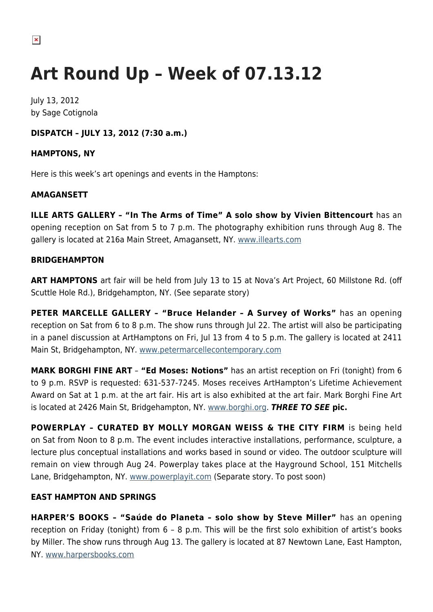# **Art Round Up – Week of 07.13.12**

July 13, 2012 by Sage Cotignola

# **DISPATCH – JULY 13, 2012 (7:30 a.m.)**

### **HAMPTONS, NY**

Here is this week's art openings and events in the Hamptons:

## **AMAGANSETT**

**ILLE ARTS GALLERY – "In The Arms of Time" A solo show by Vivien Bittencourt** has an opening reception on Sat from 5 to 7 p.m. The photography exhibition runs through Aug 8. The gallery is located at 216a Main Street, Amagansett, NY. [www.illearts.com](http://www.illearts.com)

### **BRIDGEHAMPTON**

**ART HAMPTONS** art fair will be held from July 13 to 15 at Nova's Art Project, 60 Millstone Rd. (off Scuttle Hole Rd.), Bridgehampton, NY. (See separate story)

**PETER MARCELLE GALLERY – "Bruce Helander – A Survey of Works"** has an opening reception on Sat from 6 to 8 p.m. The show runs through Jul 22. The artist will also be participating in a panel discussion at ArtHamptons on Fri, Jul 13 from 4 to 5 p.m. The gallery is located at 2411 Main St, Bridgehampton, NY. [www.petermarcellecontemporary.com](http://www.petermarcellecontemporary.com)

**MARK BORGHI FINE ART** – **"Ed Moses: Notions"** has an artist reception on Fri (tonight) from 6 to 9 p.m. RSVP is requested: 631-537-7245. Moses receives ArtHampton's Lifetime Achievement Award on Sat at 1 p.m. at the art fair. His art is also exhibited at the art fair. Mark Borghi Fine Art is located at 2426 Main St, Bridgehampton, NY. [www.borghi.org.](http://www.borghi.org) *THREE TO SEE* **pic.**

**POWERPLAY – CURATED BY MOLLY MORGAN WEISS & THE CITY FIRM** is being held on Sat from Noon to 8 p.m. The event includes interactive installations, performance, sculpture, a lecture plus conceptual installations and works based in sound or video. The outdoor sculpture will remain on view through Aug 24. Powerplay takes place at the Hayground School, 151 Mitchells Lane, Bridgehampton, NY. [www.powerplayit.com](http://www.powerplayit.com) (Separate story. To post soon)

### **EAST HAMPTON AND SPRINGS**

**HARPER'S BOOKS – "Saúde do Planeta – solo show by Steve Miller"** has an opening reception on Friday (tonight) from 6 – 8 p.m. This will be the first solo exhibition of artist's books by Miller. The show runs through Aug 13. The gallery is located at 87 Newtown Lane, East Hampton, NY. [www.harpersbooks.com](http://www.harpersbooks.com)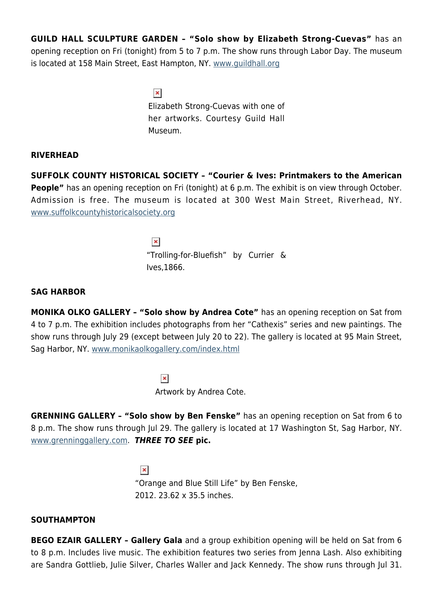**GUILD HALL SCULPTURE GARDEN – "Solo show by Elizabeth Strong-Cuevas"** has an opening reception on Fri (tonight) from 5 to 7 p.m. The show runs through Labor Day. The museum is located at 158 Main Street, East Hampton, NY. [www.guildhall.org](http://www.guildhall.org)

> $\pmb{\times}$ Elizabeth Strong-Cuevas with one of her artworks. Courtesy Guild Hall Museum.

#### **RIVERHEAD**

**SUFFOLK COUNTY HISTORICAL SOCIETY – "Courier & Ives: Printmakers to the American People"** has an opening reception on Fri (tonight) at 6 p.m. The exhibit is on view through October. Admission is free. The museum is located at 300 West Main Street, Riverhead, NY. [www.suffolkcountyhistoricalsociety.org](http://www.suffolkcountyhistoricalsociety.org)

> $\pmb{\times}$ "Trolling-for-Bluefish" by Currier & Ives,1866.

#### **SAG HARBOR**

**MONIKA OLKO GALLERY – "Solo show by Andrea Cote"** has an opening reception on Sat from 4 to 7 p.m. The exhibition includes photographs from her "Cathexis" series and new paintings. The show runs through July 29 (except between July 20 to 22). The gallery is located at 95 Main Street, Sag Harbor, NY. [www.monikaolkogallery.com/index.html](http://www.monikaolkogallery.com/index.html)

> $\pmb{\times}$ Artwork by Andrea Cote.

**GRENNING GALLERY – "Solo show by Ben Fenske"** has an opening reception on Sat from 6 to 8 p.m. The show runs through Jul 29. The gallery is located at 17 Washington St, Sag Harbor, NY. [www.grenninggallery.com](http://www.grenninggallery.com). *THREE TO SEE* **pic.**

> $\pmb{\times}$ "Orange and Blue Still Life" by Ben Fenske, 2012. 23.62 x 35.5 inches.

### **SOUTHAMPTON**

**BEGO EZAIR GALLERY – Gallery Gala** and a group exhibition opening will be held on Sat from 6 to 8 p.m. Includes live music. The exhibition features two series from Jenna Lash. Also exhibiting are Sandra Gottlieb, Julie Silver, Charles Waller and Jack Kennedy. The show runs through Jul 31.